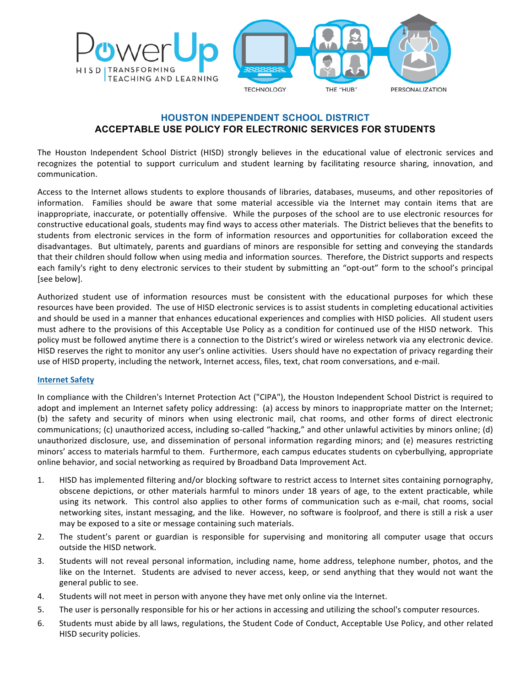

# **HOUSTON INDEPENDENT SCHOOL DISTRICT ACCEPTABLE USE POLICY FOR ELECTRONIC SERVICES FOR STUDENTS**

The Houston Independent School District (HISD) strongly believes in the educational value of electronic services and recognizes the potential to support curriculum and student learning by facilitating resource sharing, innovation, and communication.

Access to the Internet allows students to explore thousands of libraries, databases, museums, and other repositories of information. Families should be aware that some material accessible via the Internet may contain items that are inappropriate, inaccurate, or potentially offensive. While the purposes of the school are to use electronic resources for constructive educational goals, students may find ways to access other materials. The District believes that the benefits to students from electronic services in the form of information resources and opportunities for collaboration exceed the disadvantages. But ultimately, parents and guardians of minors are responsible for setting and conveying the standards that their children should follow when using media and information sources. Therefore, the District supports and respects each family's right to deny electronic services to their student by submitting an "opt-out" form to the school's principal [see below].

Authorized student use of information resources must be consistent with the educational purposes for which these resources have been provided. The use of HISD electronic services is to assist students in completing educational activities and should be used in a manner that enhances educational experiences and complies with HISD policies. All student users must adhere to the provisions of this Acceptable Use Policy as a condition for continued use of the HISD network. This policy must be followed anytime there is a connection to the District's wired or wireless network via any electronic device. HISD reserves the right to monitor any user's online activities. Users should have no expectation of privacy regarding their use of HISD property, including the network, Internet access, files, text, chat room conversations, and e-mail.

### **Internet Safety**

In compliance with the Children's Internet Protection Act ("CIPA"), the Houston Independent School District is required to adopt and implement an Internet safety policy addressing: (a) access by minors to inappropriate matter on the Internet; (b) the safety and security of minors when using electronic mail, chat rooms, and other forms of direct electronic communications; (c) unauthorized access, including so-called "hacking," and other unlawful activities by minors online; (d) unauthorized disclosure, use, and dissemination of personal information regarding minors; and (e) measures restricting minors' access to materials harmful to them. Furthermore, each campus educates students on cyberbullying, appropriate online behavior, and social networking as required by Broadband Data Improvement Act.

- 1. HISD has implemented filtering and/or blocking software to restrict access to Internet sites containing pornography, obscene depictions, or other materials harmful to minors under 18 years of age, to the extent practicable, while using its network. This control also applies to other forms of communication such as e-mail, chat rooms, social networking sites, instant messaging, and the like. However, no software is foolproof, and there is still a risk a user may be exposed to a site or message containing such materials.
- 2. The student's parent or guardian is responsible for supervising and monitoring all computer usage that occurs outside the HISD network.
- 3. Students will not reveal personal information, including name, home address, telephone number, photos, and the like on the Internet. Students are advised to never access, keep, or send anything that they would not want the general public to see.
- 4. Students will not meet in person with anyone they have met only online via the Internet.
- 5. The user is personally responsible for his or her actions in accessing and utilizing the school's computer resources.
- 6. Students must abide by all laws, regulations, the Student Code of Conduct, Acceptable Use Policy, and other related HISD security policies.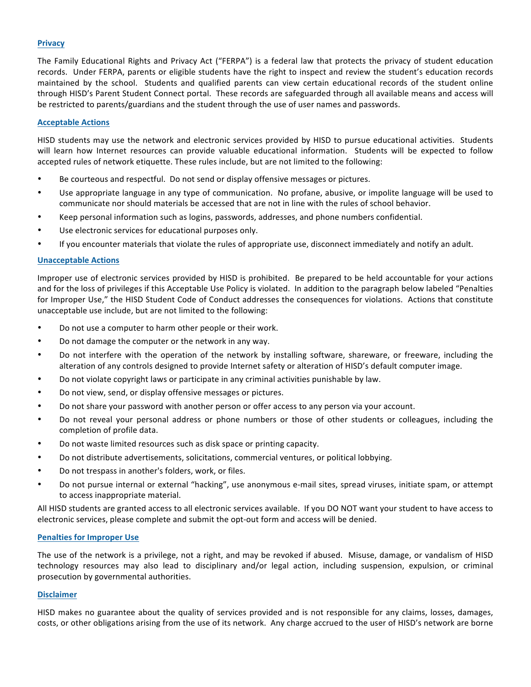## **Privacy**

The Family Educational Rights and Privacy Act ("FERPA") is a federal law that protects the privacy of student education records. Under FERPA, parents or eligible students have the right to inspect and review the student's education records maintained by the school. Students and qualified parents can view certain educational records of the student online through HISD's Parent Student Connect portal. These records are safeguarded through all available means and access will be restricted to parents/guardians and the student through the use of user names and passwords.

### **Acceptable Actions**

HISD students may use the network and electronic services provided by HISD to pursue educational activities. Students will learn how Internet resources can provide valuable educational information. Students will be expected to follow accepted rules of network etiquette. These rules include, but are not limited to the following:

- Be courteous and respectful. Do not send or display offensive messages or pictures.
- Use appropriate language in any type of communication. No profane, abusive, or impolite language will be used to communicate nor should materials be accessed that are not in line with the rules of school behavior.
- Keep personal information such as logins, passwords, addresses, and phone numbers confidential.
- Use electronic services for educational purposes only.
- If you encounter materials that violate the rules of appropriate use, disconnect immediately and notify an adult.

### **Unacceptable Actions**

Improper use of electronic services provided by HISD is prohibited. Be prepared to be held accountable for your actions and for the loss of privileges if this Acceptable Use Policy is violated. In addition to the paragraph below labeled "Penalties for Improper Use," the HISD Student Code of Conduct addresses the consequences for violations. Actions that constitute unacceptable use include, but are not limited to the following:

- Do not use a computer to harm other people or their work.
- Do not damage the computer or the network in any way.
- Do not interfere with the operation of the network by installing software, shareware, or freeware, including the alteration of any controls designed to provide Internet safety or alteration of HISD's default computer image.
- Do not violate copyright laws or participate in any criminal activities punishable by law.
- Do not view, send, or display offensive messages or pictures.
- Do not share your password with another person or offer access to any person via your account.
- Do not reveal your personal address or phone numbers or those of other students or colleagues, including the completion of profile data.
- Do not waste limited resources such as disk space or printing capacity.
- Do not distribute advertisements, solicitations, commercial ventures, or political lobbying.
- Do not trespass in another's folders, work, or files.
- Do not pursue internal or external "hacking", use anonymous e-mail sites, spread viruses, initiate spam, or attempt to access inappropriate material.

All HISD students are granted access to all electronic services available. If you DO NOT want your student to have access to electronic services, please complete and submit the opt-out form and access will be denied.

#### **Penalties for Improper Use**

The use of the network is a privilege, not a right, and may be revoked if abused. Misuse, damage, or vandalism of HISD technology resources may also lead to disciplinary and/or legal action, including suspension, expulsion, or criminal prosecution by governmental authorities.

### **Disclaimer**

HISD makes no guarantee about the quality of services provided and is not responsible for any claims, losses, damages, costs, or other obligations arising from the use of its network. Any charge accrued to the user of HISD's network are borne